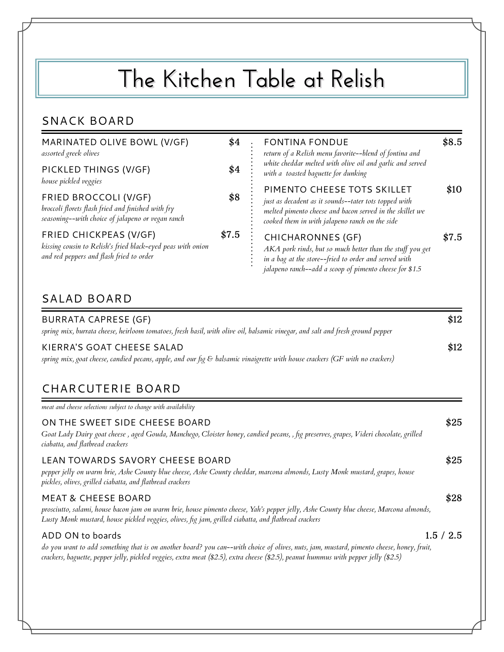# **The Kitchen Table at Relish**

#### SNACK BOARD

| MARINATED OLIVE BOWL (V/GF)<br>assorted greek olives                                                                              |       | <b>FONTINA FONDUE</b><br>return of a Relish menu favorite--blend of fontina and                                                                                                                           | \$8.5 |
|-----------------------------------------------------------------------------------------------------------------------------------|-------|-----------------------------------------------------------------------------------------------------------------------------------------------------------------------------------------------------------|-------|
| PICKLED THINGS (V/GF)<br>house pickled veggies                                                                                    | \$4   | white cheddar melted with olive oil and garlic and served<br>with a toasted baguette for dunking                                                                                                          |       |
| FRIED BROCCOLI (V/GF)<br>broccoli florets flash fried and finished with fry<br>seasoning--with choice of jalapeno or vegan ranch  | \$8   | PIMENTO CHEESE TOTS SKILLET<br>just as decadent as it sounds--tater tots topped with<br>melted pimento cheese and bacon served in the skillet we<br>cooked them in with jalapeno ranch on the side        | \$10  |
| FRIED CHICKPEAS (V/GF)<br>kissing cousin to Relish's fried black-eyed peas with onion<br>and red peppers and flash fried to order | \$7.5 | <b>CHICHARONNES (GF)</b><br>AKA pork rinds, but so much better than the stuff you get<br>in a bag at the store--fried to order and served with<br>jalapeno ranch--add a scoop of pimento cheese for \$1.5 | \$7.5 |

#### SALAD BOARD

| <b>BURRATA CAPRESE (GF)</b><br>spring mix, burrata cheese, heirloom tomatoes, fresh basil, with olive oil, balsamic vinegar, and salt and fresh ground pepper | \$12 |
|---------------------------------------------------------------------------------------------------------------------------------------------------------------|------|
| KIERRA'S GOAT CHEESE SALAD<br>spring mix, goat cheese, candied pecans, apple, and our fig & balsamic vinaigrette with house crackers (GF with no crackers)    | \$12 |

## CHARCUTERIE BOARD

*meat and cheese selections subject to change with availability*

| ON THE SWEET SIDE CHEESE BOARD<br>Goat Lady Dairy goat cheese, aged Gouda, Manchego, Cloister honey, candied pecans, , fig preserves, grapes, Videri chocolate, grilled<br>ciabatta, and flatbread crackers                                                                     | \$25      |
|---------------------------------------------------------------------------------------------------------------------------------------------------------------------------------------------------------------------------------------------------------------------------------|-----------|
| LEAN TOWARDS SAVORY CHEESE BOARD<br>pepper jelly on warm brie, Ashe County blue cheese, Ashe County cheddar, marcona almonds, Lusty Monk mustard, grapes, house<br>pickles, olives, grilled ciabatta, and flatbread crackers                                                    | \$25      |
| <b>MEAT &amp; CHEESE BOARD</b><br>prosciutto, salami, house bacon jam on warm brie, house pimento cheese, Yah's pepper jelly, Ashe County blue cheese, Marcona almonds,<br>Lusty Monk mustard, house pickled veggies, olives, fig jam, grilled ciabatta, and flatbread crackers | \$28      |
| ADD ON to boards<br>do you want to add something that is on another hoard? you can--with choice of olives nuts jam mustard nimento cheese honey fruit                                                                                                                           | 1.5 / 2.5 |

*do you want to add something that is on another board? you can--with choice of olives, nuts, jam, mustard, pimento cheese, honey, fruit, crackers, baguette, pepper jelly, pickled veggies, extra meat (\$2.5), extra cheese (\$2.5), peanut hummus with pepper jelly (\$2.5)*